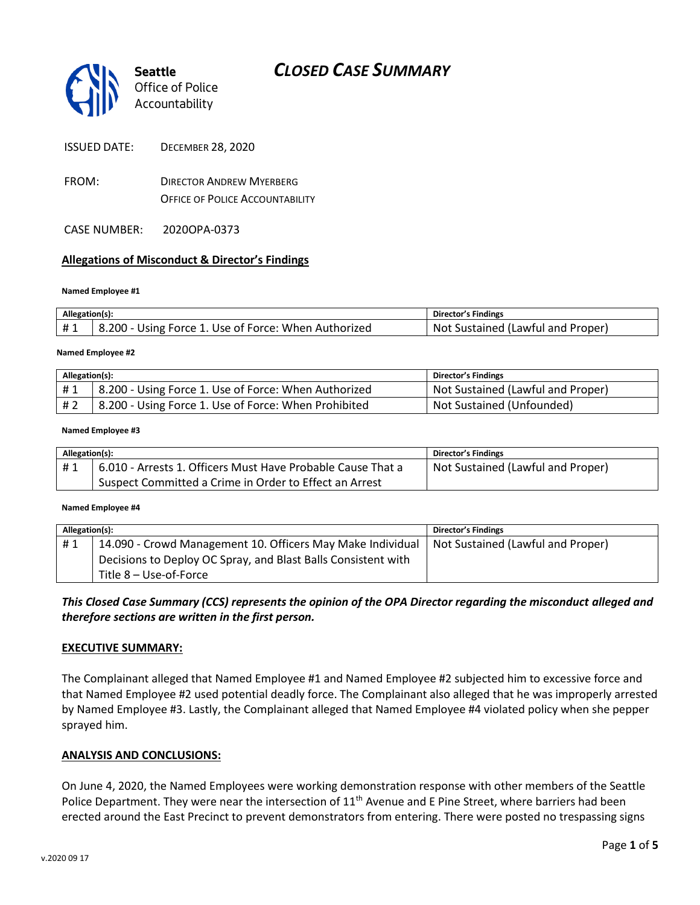

*Office of Police Accountability*

ISSUED DATE: DECEMBER 28, 2020

FROM: DIRECTOR ANDREW MYERBERG OFFICE OF POLICE ACCOUNTABILITY

CASE NUMBER: 2020OPA-0373

#### **Allegations of Misconduct & Director's Findings**

#### **Named Employee #1**

| Allegation(s): |                                                      | Director's Findings               |
|----------------|------------------------------------------------------|-----------------------------------|
| #1             | 8.200 - Using Force 1. Use of Force: When Authorized | Not Sustained (Lawful and Proper) |
|                |                                                      |                                   |

#### **Named Employee #2**

| Allegation(s): |                                                      | Director's Findings               |
|----------------|------------------------------------------------------|-----------------------------------|
| #1             | 8.200 - Using Force 1. Use of Force: When Authorized | Not Sustained (Lawful and Proper) |
| #2             | 8.200 - Using Force 1. Use of Force: When Prohibited | Not Sustained (Unfounded)         |

#### **Named Employee #3**

| Allegation(s): |                                                             | Director's Findings               |
|----------------|-------------------------------------------------------------|-----------------------------------|
| #1             | 6.010 - Arrests 1. Officers Must Have Probable Cause That a | Not Sustained (Lawful and Proper) |
|                | Suspect Committed a Crime in Order to Effect an Arrest      |                                   |

#### **Named Employee #4**

| Allegation(s): |                                                               | <b>Director's Findings</b>        |
|----------------|---------------------------------------------------------------|-----------------------------------|
| #1             | 14.090 - Crowd Management 10. Officers May Make Individual    | Not Sustained (Lawful and Proper) |
|                | Decisions to Deploy OC Spray, and Blast Balls Consistent with |                                   |
|                | Title 8 – Use-of-Force                                        |                                   |

*This Closed Case Summary (CCS) represents the opinion of the OPA Director regarding the misconduct alleged and therefore sections are written in the first person.* 

#### **EXECUTIVE SUMMARY:**

The Complainant alleged that Named Employee #1 and Named Employee #2 subjected him to excessive force and that Named Employee #2 used potential deadly force. The Complainant also alleged that he was improperly arrested by Named Employee #3. Lastly, the Complainant alleged that Named Employee #4 violated policy when she pepper sprayed him.

#### **ANALYSIS AND CONCLUSIONS:**

On June 4, 2020, the Named Employees were working demonstration response with other members of the Seattle Police Department. They were near the intersection of 11<sup>th</sup> Avenue and E Pine Street, where barriers had been erected around the East Precinct to prevent demonstrators from entering. There were posted no trespassing signs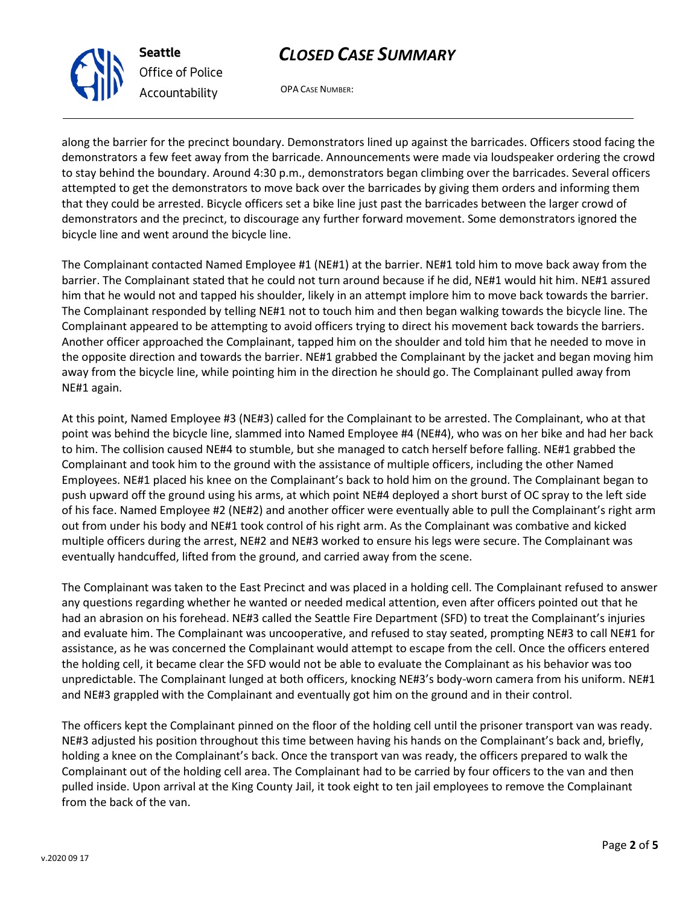along the barrier for the precinct boundary. Demonstrators lined up against the barricades. Officers stood facing the demonstrators a few feet away from the barricade. Announcements were made via loudspeaker ordering the crowd to stay behind the boundary. Around 4:30 p.m., demonstrators began climbing over the barricades. Several officers attempted to get the demonstrators to move back over the barricades by giving them orders and informing them that they could be arrested. Bicycle officers set a bike line just past the barricades between the larger crowd of demonstrators and the precinct, to discourage any further forward movement. Some demonstrators ignored the bicycle line and went around the bicycle line.

*CLOSED CASE SUMMARY*

OPA CASE NUMBER:

The Complainant contacted Named Employee #1 (NE#1) at the barrier. NE#1 told him to move back away from the barrier. The Complainant stated that he could not turn around because if he did, NE#1 would hit him. NE#1 assured him that he would not and tapped his shoulder, likely in an attempt implore him to move back towards the barrier. The Complainant responded by telling NE#1 not to touch him and then began walking towards the bicycle line. The Complainant appeared to be attempting to avoid officers trying to direct his movement back towards the barriers. Another officer approached the Complainant, tapped him on the shoulder and told him that he needed to move in the opposite direction and towards the barrier. NE#1 grabbed the Complainant by the jacket and began moving him away from the bicycle line, while pointing him in the direction he should go. The Complainant pulled away from NE#1 again.

At this point, Named Employee #3 (NE#3) called for the Complainant to be arrested. The Complainant, who at that point was behind the bicycle line, slammed into Named Employee #4 (NE#4), who was on her bike and had her back to him. The collision caused NE#4 to stumble, but she managed to catch herself before falling. NE#1 grabbed the Complainant and took him to the ground with the assistance of multiple officers, including the other Named Employees. NE#1 placed his knee on the Complainant's back to hold him on the ground. The Complainant began to push upward off the ground using his arms, at which point NE#4 deployed a short burst of OC spray to the left side of his face. Named Employee #2 (NE#2) and another officer were eventually able to pull the Complainant's right arm out from under his body and NE#1 took control of his right arm. As the Complainant was combative and kicked multiple officers during the arrest, NE#2 and NE#3 worked to ensure his legs were secure. The Complainant was eventually handcuffed, lifted from the ground, and carried away from the scene.

The Complainant was taken to the East Precinct and was placed in a holding cell. The Complainant refused to answer any questions regarding whether he wanted or needed medical attention, even after officers pointed out that he had an abrasion on his forehead. NE#3 called the Seattle Fire Department (SFD) to treat the Complainant's injuries and evaluate him. The Complainant was uncooperative, and refused to stay seated, prompting NE#3 to call NE#1 for assistance, as he was concerned the Complainant would attempt to escape from the cell. Once the officers entered the holding cell, it became clear the SFD would not be able to evaluate the Complainant as his behavior was too unpredictable. The Complainant lunged at both officers, knocking NE#3's body-worn camera from his uniform. NE#1 and NE#3 grappled with the Complainant and eventually got him on the ground and in their control.

The officers kept the Complainant pinned on the floor of the holding cell until the prisoner transport van was ready. NE#3 adjusted his position throughout this time between having his hands on the Complainant's back and, briefly, holding a knee on the Complainant's back. Once the transport van was ready, the officers prepared to walk the Complainant out of the holding cell area. The Complainant had to be carried by four officers to the van and then pulled inside. Upon arrival at the King County Jail, it took eight to ten jail employees to remove the Complainant from the back of the van.



**Seattle** *Office of Police Accountability*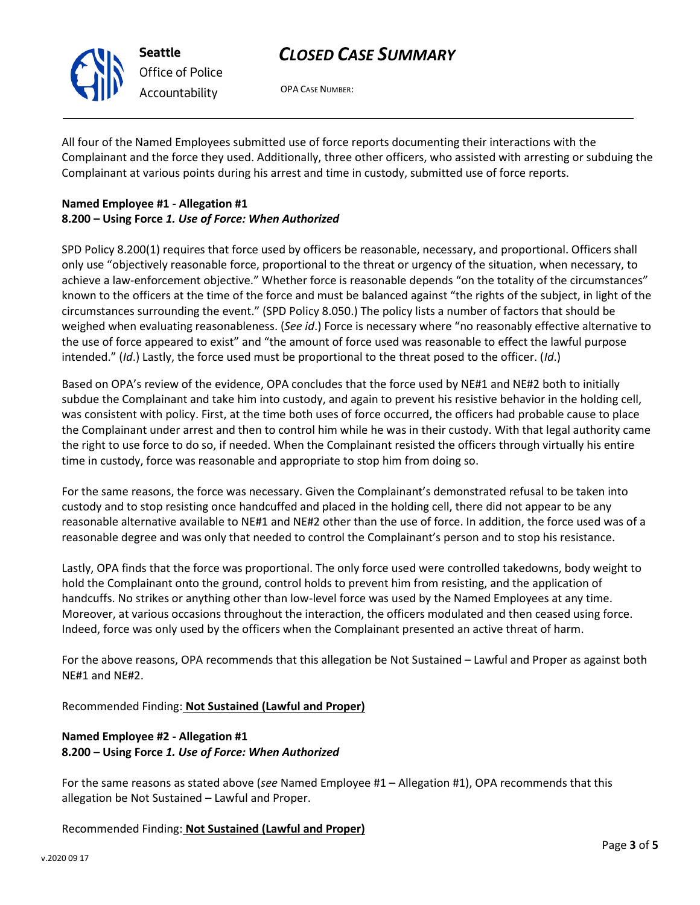

OPA CASE NUMBER:

All four of the Named Employees submitted use of force reports documenting their interactions with the Complainant and the force they used. Additionally, three other officers, who assisted with arresting or subduing the Complainant at various points during his arrest and time in custody, submitted use of force reports.

### **Named Employee #1 - Allegation #1 8.200 – Using Force** *1. Use of Force: When Authorized*

SPD Policy 8.200(1) requires that force used by officers be reasonable, necessary, and proportional. Officers shall only use "objectively reasonable force, proportional to the threat or urgency of the situation, when necessary, to achieve a law-enforcement objective." Whether force is reasonable depends "on the totality of the circumstances" known to the officers at the time of the force and must be balanced against "the rights of the subject, in light of the circumstances surrounding the event." (SPD Policy 8.050.) The policy lists a number of factors that should be weighed when evaluating reasonableness. (*See id*.) Force is necessary where "no reasonably effective alternative to the use of force appeared to exist" and "the amount of force used was reasonable to effect the lawful purpose intended." (*Id*.) Lastly, the force used must be proportional to the threat posed to the officer. (*Id*.)

Based on OPA's review of the evidence, OPA concludes that the force used by NE#1 and NE#2 both to initially subdue the Complainant and take him into custody, and again to prevent his resistive behavior in the holding cell, was consistent with policy. First, at the time both uses of force occurred, the officers had probable cause to place the Complainant under arrest and then to control him while he was in their custody. With that legal authority came the right to use force to do so, if needed. When the Complainant resisted the officers through virtually his entire time in custody, force was reasonable and appropriate to stop him from doing so.

For the same reasons, the force was necessary. Given the Complainant's demonstrated refusal to be taken into custody and to stop resisting once handcuffed and placed in the holding cell, there did not appear to be any reasonable alternative available to NE#1 and NE#2 other than the use of force. In addition, the force used was of a reasonable degree and was only that needed to control the Complainant's person and to stop his resistance.

Lastly, OPA finds that the force was proportional. The only force used were controlled takedowns, body weight to hold the Complainant onto the ground, control holds to prevent him from resisting, and the application of handcuffs. No strikes or anything other than low-level force was used by the Named Employees at any time. Moreover, at various occasions throughout the interaction, the officers modulated and then ceased using force. Indeed, force was only used by the officers when the Complainant presented an active threat of harm.

For the above reasons, OPA recommends that this allegation be Not Sustained – Lawful and Proper as against both NE#1 and NE#2.

Recommended Finding: **Not Sustained (Lawful and Proper)**

## **Named Employee #2 - Allegation #1 8.200 – Using Force** *1. Use of Force: When Authorized*

For the same reasons as stated above (*see* Named Employee #1 – Allegation #1), OPA recommends that this allegation be Not Sustained – Lawful and Proper.

Recommended Finding: **Not Sustained (Lawful and Proper)**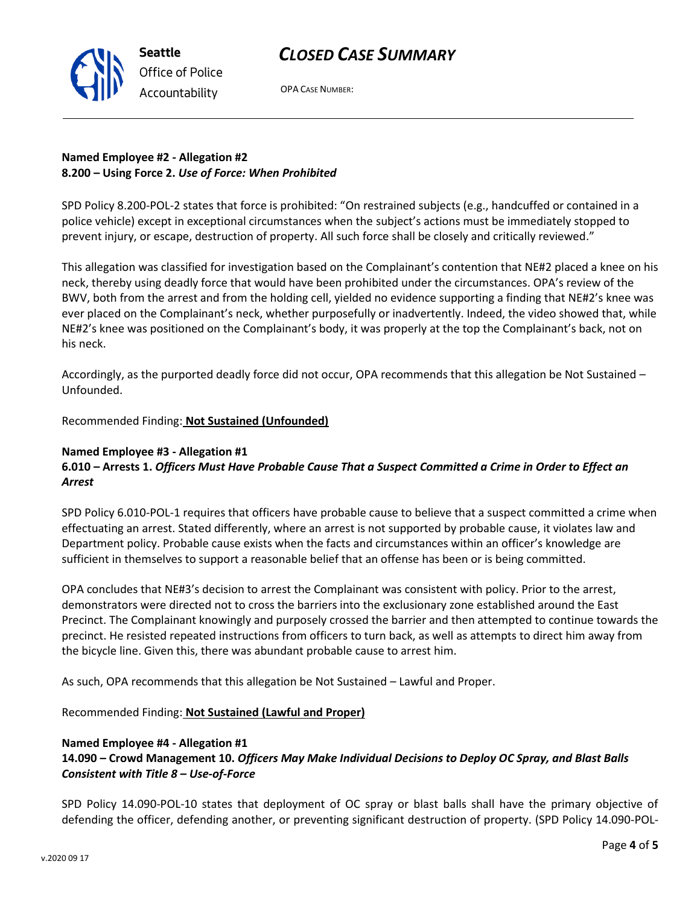

OPA CASE NUMBER:

## **Named Employee #2 - Allegation #2 8.200 – Using Force 2.** *Use of Force: When Prohibited*

SPD Policy 8.200-POL-2 states that force is prohibited: "On restrained subjects (e.g., handcuffed or contained in a police vehicle) except in exceptional circumstances when the subject's actions must be immediately stopped to prevent injury, or escape, destruction of property. All such force shall be closely and critically reviewed."

This allegation was classified for investigation based on the Complainant's contention that NE#2 placed a knee on his neck, thereby using deadly force that would have been prohibited under the circumstances. OPA's review of the BWV, both from the arrest and from the holding cell, yielded no evidence supporting a finding that NE#2's knee was ever placed on the Complainant's neck, whether purposefully or inadvertently. Indeed, the video showed that, while NE#2's knee was positioned on the Complainant's body, it was properly at the top the Complainant's back, not on his neck.

Accordingly, as the purported deadly force did not occur, OPA recommends that this allegation be Not Sustained – Unfounded.

Recommended Finding: **Not Sustained (Unfounded)**

### **Named Employee #3 - Allegation #1**

## **6.010 – Arrests 1.** *Officers Must Have Probable Cause That a Suspect Committed a Crime in Order to Effect an Arrest*

SPD Policy 6.010-POL-1 requires that officers have probable cause to believe that a suspect committed a crime when effectuating an arrest. Stated differently, where an arrest is not supported by probable cause, it violates law and Department policy. Probable cause exists when the facts and circumstances within an officer's knowledge are sufficient in themselves to support a reasonable belief that an offense has been or is being committed.

OPA concludes that NE#3's decision to arrest the Complainant was consistent with policy. Prior to the arrest, demonstrators were directed not to cross the barriers into the exclusionary zone established around the East Precinct. The Complainant knowingly and purposely crossed the barrier and then attempted to continue towards the precinct. He resisted repeated instructions from officers to turn back, as well as attempts to direct him away from the bicycle line. Given this, there was abundant probable cause to arrest him.

As such, OPA recommends that this allegation be Not Sustained – Lawful and Proper.

Recommended Finding: **Not Sustained (Lawful and Proper)**

#### **Named Employee #4 - Allegation #1**

## **14.090 – Crowd Management 10.** *Officers May Make Individual Decisions to Deploy OC Spray, and Blast Balls Consistent with Title 8 – Use-of-Force*

SPD Policy 14.090-POL-10 states that deployment of OC spray or blast balls shall have the primary objective of defending the officer, defending another, or preventing significant destruction of property. (SPD Policy 14.090-POL-